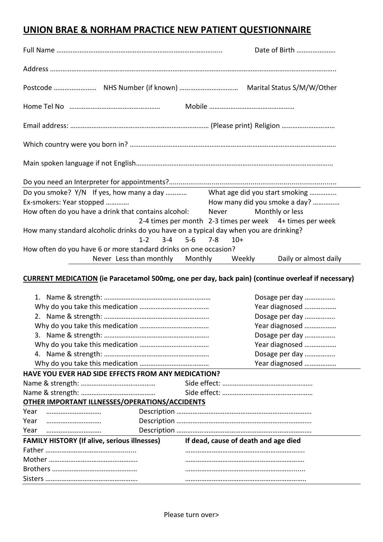## **UNION BRAE & NORHAM PRACTICE NEW PATIENT QUESTIONNAIRE**

|                                                                                                    | Date of Birth                                            |  |  |  |
|----------------------------------------------------------------------------------------------------|----------------------------------------------------------|--|--|--|
|                                                                                                    |                                                          |  |  |  |
|                                                                                                    |                                                          |  |  |  |
|                                                                                                    |                                                          |  |  |  |
|                                                                                                    |                                                          |  |  |  |
|                                                                                                    |                                                          |  |  |  |
|                                                                                                    |                                                          |  |  |  |
|                                                                                                    |                                                          |  |  |  |
| Do you smoke? Y/N If yes, how many a day  What age did you start smoking                           |                                                          |  |  |  |
| Ex-smokers: Year stopped                                                                           | How many did you smoke a day?                            |  |  |  |
| How often do you have a drink that contains alcohol: Never                                         | Monthly or less                                          |  |  |  |
|                                                                                                    | 2-4 times per month 2-3 times per week 4+ times per week |  |  |  |
| How many standard alcoholic drinks do you have on a typical day when you are drinking?             |                                                          |  |  |  |
| $1-2$ $3-4$ $5-6$                                                                                  | 7-8<br>$10+$                                             |  |  |  |
| How often do you have 6 or more standard drinks on one occasion?                                   |                                                          |  |  |  |
| Never Less than monthly Monthly Weekly                                                             | Daily or almost daily                                    |  |  |  |
| CUPPENT MEDICATION (in Paracetamol E00mg, and not day, back nain) (continue overloof if necessary) |                                                          |  |  |  |

**CURRENT MEDICATION (ie Paracetamol 500mg, one per day, back pain) (continue overleaf if necessary)**

|                                                     |                                      | Dosage per day |  |  |
|-----------------------------------------------------|--------------------------------------|----------------|--|--|
|                                                     |                                      | Year diagnosed |  |  |
|                                                     |                                      | Dosage per day |  |  |
|                                                     |                                      | Year diagnosed |  |  |
|                                                     |                                      | Dosage per day |  |  |
|                                                     |                                      | Year diagnosed |  |  |
|                                                     |                                      | Dosage per day |  |  |
|                                                     |                                      | Year diagnosed |  |  |
| HAVE YOU EVER HAD SIDE EFFECTS FROM ANY MEDICATION? |                                      |                |  |  |
|                                                     |                                      |                |  |  |
|                                                     |                                      |                |  |  |
| OTHER IMPORTANT ILLNESSES/OPERATIONS/ACCIDENTS      |                                      |                |  |  |
| Year<br>                                            |                                      |                |  |  |
| Year                                                |                                      |                |  |  |
| Year<br>                                            |                                      |                |  |  |
| <b>FAMILY HISTORY (If alive, serious illnesses)</b> | If dead, cause of death and age died |                |  |  |
|                                                     |                                      |                |  |  |
|                                                     |                                      |                |  |  |
|                                                     |                                      |                |  |  |
|                                                     |                                      |                |  |  |